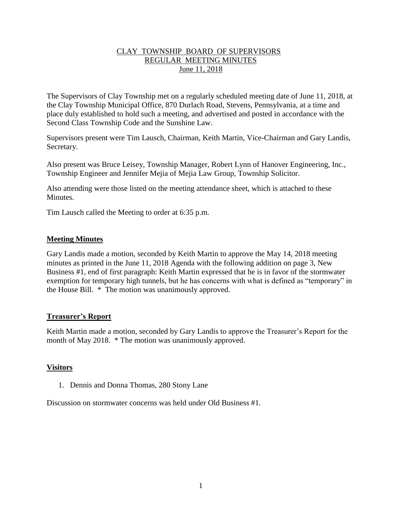## CLAY TOWNSHIP BOARD OF SUPERVISORS REGULAR MEETING MINUTES June 11, 2018

The Supervisors of Clay Township met on a regularly scheduled meeting date of June 11, 2018, at the Clay Township Municipal Office, 870 Durlach Road, Stevens, Pennsylvania, at a time and place duly established to hold such a meeting, and advertised and posted in accordance with the Second Class Township Code and the Sunshine Law.

Supervisors present were Tim Lausch, Chairman, Keith Martin, Vice-Chairman and Gary Landis, Secretary.

Also present was Bruce Leisey, Township Manager, Robert Lynn of Hanover Engineering, Inc., Township Engineer and Jennifer Mejia of Mejia Law Group, Township Solicitor.

Also attending were those listed on the meeting attendance sheet, which is attached to these **Minutes** 

Tim Lausch called the Meeting to order at 6:35 p.m.

### **Meeting Minutes**

Gary Landis made a motion, seconded by Keith Martin to approve the May 14, 2018 meeting minutes as printed in the June 11, 2018 Agenda with the following addition on page 3, New Business #1, end of first paragraph: Keith Martin expressed that he is in favor of the stormwater exemption for temporary high tunnels, but he has concerns with what is defined as "temporary" in the House Bill. \* The motion was unanimously approved.

### **Treasurer's Report**

Keith Martin made a motion, seconded by Gary Landis to approve the Treasurer's Report for the month of May 2018. \* The motion was unanimously approved.

# **Visitors**

1. Dennis and Donna Thomas, 280 Stony Lane

Discussion on stormwater concerns was held under Old Business #1.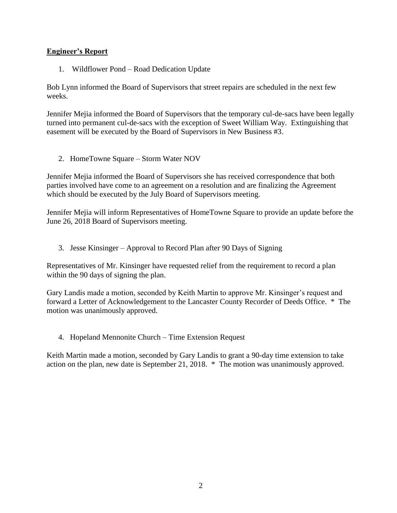# **Engineer's Report**

1. Wildflower Pond – Road Dedication Update

Bob Lynn informed the Board of Supervisors that street repairs are scheduled in the next few weeks.

Jennifer Mejia informed the Board of Supervisors that the temporary cul-de-sacs have been legally turned into permanent cul-de-sacs with the exception of Sweet William Way. Extinguishing that easement will be executed by the Board of Supervisors in New Business #3.

2. HomeTowne Square – Storm Water NOV

Jennifer Mejia informed the Board of Supervisors she has received correspondence that both parties involved have come to an agreement on a resolution and are finalizing the Agreement which should be executed by the July Board of Supervisors meeting.

Jennifer Mejia will inform Representatives of HomeTowne Square to provide an update before the June 26, 2018 Board of Supervisors meeting.

3. Jesse Kinsinger – Approval to Record Plan after 90 Days of Signing

Representatives of Mr. Kinsinger have requested relief from the requirement to record a plan within the 90 days of signing the plan.

Gary Landis made a motion, seconded by Keith Martin to approve Mr. Kinsinger's request and forward a Letter of Acknowledgement to the Lancaster County Recorder of Deeds Office. \* The motion was unanimously approved.

4. Hopeland Mennonite Church – Time Extension Request

Keith Martin made a motion, seconded by Gary Landis to grant a 90-day time extension to take action on the plan, new date is September 21, 2018. \* The motion was unanimously approved.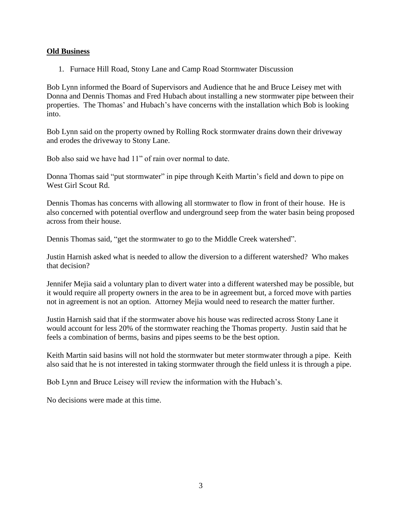### **Old Business**

1. Furnace Hill Road, Stony Lane and Camp Road Stormwater Discussion

Bob Lynn informed the Board of Supervisors and Audience that he and Bruce Leisey met with Donna and Dennis Thomas and Fred Hubach about installing a new stormwater pipe between their properties. The Thomas' and Hubach's have concerns with the installation which Bob is looking into.

Bob Lynn said on the property owned by Rolling Rock stormwater drains down their driveway and erodes the driveway to Stony Lane.

Bob also said we have had 11" of rain over normal to date.

Donna Thomas said "put stormwater" in pipe through Keith Martin's field and down to pipe on West Girl Scout Rd.

Dennis Thomas has concerns with allowing all stormwater to flow in front of their house. He is also concerned with potential overflow and underground seep from the water basin being proposed across from their house.

Dennis Thomas said, "get the stormwater to go to the Middle Creek watershed".

Justin Harnish asked what is needed to allow the diversion to a different watershed? Who makes that decision?

Jennifer Mejia said a voluntary plan to divert water into a different watershed may be possible, but it would require all property owners in the area to be in agreement but, a forced move with parties not in agreement is not an option. Attorney Mejia would need to research the matter further.

Justin Harnish said that if the stormwater above his house was redirected across Stony Lane it would account for less 20% of the stormwater reaching the Thomas property. Justin said that he feels a combination of berms, basins and pipes seems to be the best option.

Keith Martin said basins will not hold the stormwater but meter stormwater through a pipe. Keith also said that he is not interested in taking stormwater through the field unless it is through a pipe.

Bob Lynn and Bruce Leisey will review the information with the Hubach's.

No decisions were made at this time.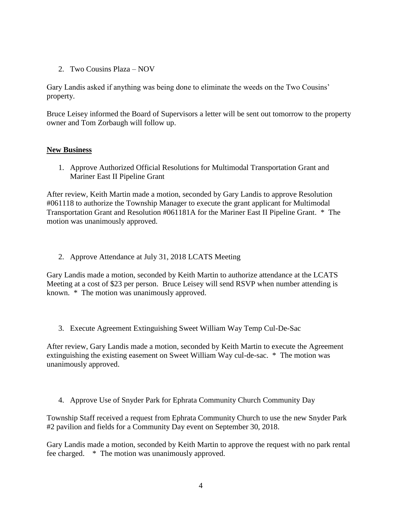2. Two Cousins Plaza – NOV

Gary Landis asked if anything was being done to eliminate the weeds on the Two Cousins' property.

Bruce Leisey informed the Board of Supervisors a letter will be sent out tomorrow to the property owner and Tom Zorbaugh will follow up.

### **New Business**

1. Approve Authorized Official Resolutions for Multimodal Transportation Grant and Mariner East II Pipeline Grant

After review, Keith Martin made a motion, seconded by Gary Landis to approve Resolution #061118 to authorize the Township Manager to execute the grant applicant for Multimodal Transportation Grant and Resolution #061181A for the Mariner East II Pipeline Grant. \* The motion was unanimously approved.

2. Approve Attendance at July 31, 2018 LCATS Meeting

Gary Landis made a motion, seconded by Keith Martin to authorize attendance at the LCATS Meeting at a cost of \$23 per person. Bruce Leisey will send RSVP when number attending is known. \* The motion was unanimously approved.

3. Execute Agreement Extinguishing Sweet William Way Temp Cul-De-Sac

After review, Gary Landis made a motion, seconded by Keith Martin to execute the Agreement extinguishing the existing easement on Sweet William Way cul-de-sac. \* The motion was unanimously approved.

4. Approve Use of Snyder Park for Ephrata Community Church Community Day

Township Staff received a request from Ephrata Community Church to use the new Snyder Park #2 pavilion and fields for a Community Day event on September 30, 2018.

Gary Landis made a motion, seconded by Keith Martin to approve the request with no park rental fee charged. \* The motion was unanimously approved.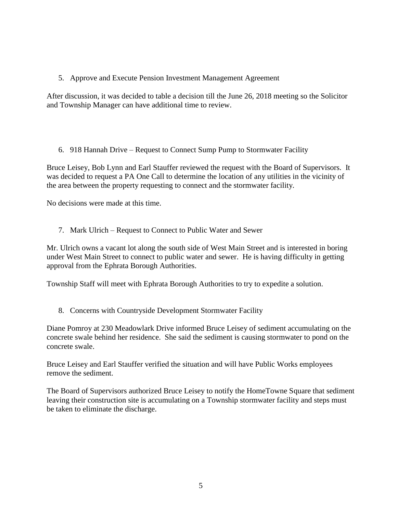# 5. Approve and Execute Pension Investment Management Agreement

After discussion, it was decided to table a decision till the June 26, 2018 meeting so the Solicitor and Township Manager can have additional time to review.

6. 918 Hannah Drive – Request to Connect Sump Pump to Stormwater Facility

Bruce Leisey, Bob Lynn and Earl Stauffer reviewed the request with the Board of Supervisors. It was decided to request a PA One Call to determine the location of any utilities in the vicinity of the area between the property requesting to connect and the stormwater facility.

No decisions were made at this time.

7. Mark Ulrich – Request to Connect to Public Water and Sewer

Mr. Ulrich owns a vacant lot along the south side of West Main Street and is interested in boring under West Main Street to connect to public water and sewer. He is having difficulty in getting approval from the Ephrata Borough Authorities.

Township Staff will meet with Ephrata Borough Authorities to try to expedite a solution.

8. Concerns with Countryside Development Stormwater Facility

Diane Pomroy at 230 Meadowlark Drive informed Bruce Leisey of sediment accumulating on the concrete swale behind her residence. She said the sediment is causing stormwater to pond on the concrete swale.

Bruce Leisey and Earl Stauffer verified the situation and will have Public Works employees remove the sediment.

The Board of Supervisors authorized Bruce Leisey to notify the HomeTowne Square that sediment leaving their construction site is accumulating on a Township stormwater facility and steps must be taken to eliminate the discharge.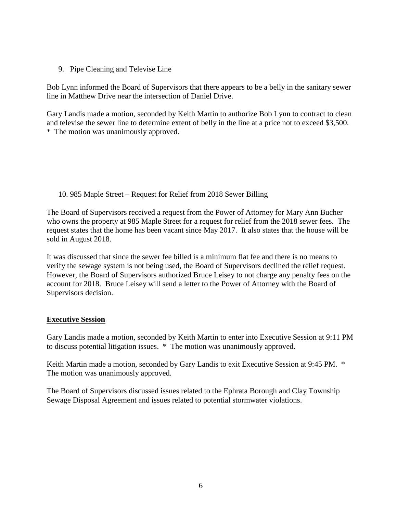9. Pipe Cleaning and Televise Line

Bob Lynn informed the Board of Supervisors that there appears to be a belly in the sanitary sewer line in Matthew Drive near the intersection of Daniel Drive.

Gary Landis made a motion, seconded by Keith Martin to authorize Bob Lynn to contract to clean and televise the sewer line to determine extent of belly in the line at a price not to exceed \$3,500. \* The motion was unanimously approved.

10. 985 Maple Street – Request for Relief from 2018 Sewer Billing

The Board of Supervisors received a request from the Power of Attorney for Mary Ann Bucher who owns the property at 985 Maple Street for a request for relief from the 2018 sewer fees. The request states that the home has been vacant since May 2017. It also states that the house will be sold in August 2018.

It was discussed that since the sewer fee billed is a minimum flat fee and there is no means to verify the sewage system is not being used, the Board of Supervisors declined the relief request. However, the Board of Supervisors authorized Bruce Leisey to not charge any penalty fees on the account for 2018. Bruce Leisey will send a letter to the Power of Attorney with the Board of Supervisors decision.

# **Executive Session**

Gary Landis made a motion, seconded by Keith Martin to enter into Executive Session at 9:11 PM to discuss potential litigation issues. \* The motion was unanimously approved.

Keith Martin made a motion, seconded by Gary Landis to exit Executive Session at 9:45 PM. \* The motion was unanimously approved.

The Board of Supervisors discussed issues related to the Ephrata Borough and Clay Township Sewage Disposal Agreement and issues related to potential stormwater violations.